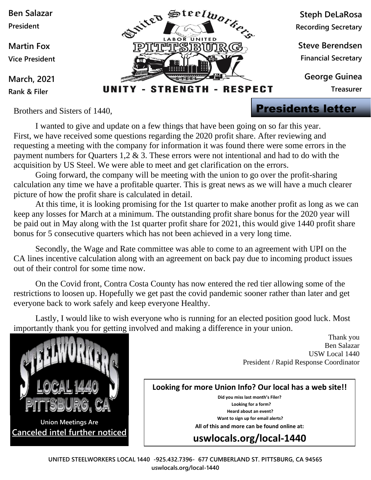

Brothers and Sisters of 1440,

I wanted to give and update on a few things that have been going on so far this year. First, we have received some questions regarding the 2020 profit share. After reviewing and requesting a meeting with the company for information it was found there were some errors in the payment numbers for Quarters 1,2 & 3. These errors were not intentional and had to do with the acquisition by US Steel. We were able to meet and get clarification on the errors.

Going forward, the company will be meeting with the union to go over the profit-sharing calculation any time we have a profitable quarter. This is great news as we will have a much clearer picture of how the profit share is calculated in detail.

At this time, it is looking promising for the 1st quarter to make another profit as long as we can keep any losses for March at a minimum. The outstanding profit share bonus for the 2020 year will be paid out in May along with the 1st quarter profit share for 2021, this would give 1440 profit share bonus for 5 consecutive quarters which has not been achieved in a very long time.

Secondly, the Wage and Rate committee was able to come to an agreement with UPI on the CA lines incentive calculation along with an agreement on back pay due to incoming product issues out of their control for some time now.

On the Covid front, Contra Costa County has now entered the red tier allowing some of the restrictions to loosen up. Hopefully we get past the covid pandemic sooner rather than later and get everyone back to work safely and keep everyone Healthy.

Lastly, I would like to wish everyone who is running for an elected position good luck. Most importantly thank you for getting involved and making a difference in your union.

> Thank you Ben Salazar USW Local 1440 President / Rapid Response Coordinator



**Looking for more Union Info? Our local has a web site!! Did you miss last month's Filer?** 

 **Looking for a form? Heard about an event? Want to sign up for email alerts? All of this and more can be found online at:**

**uswlocals.org/local-1440**